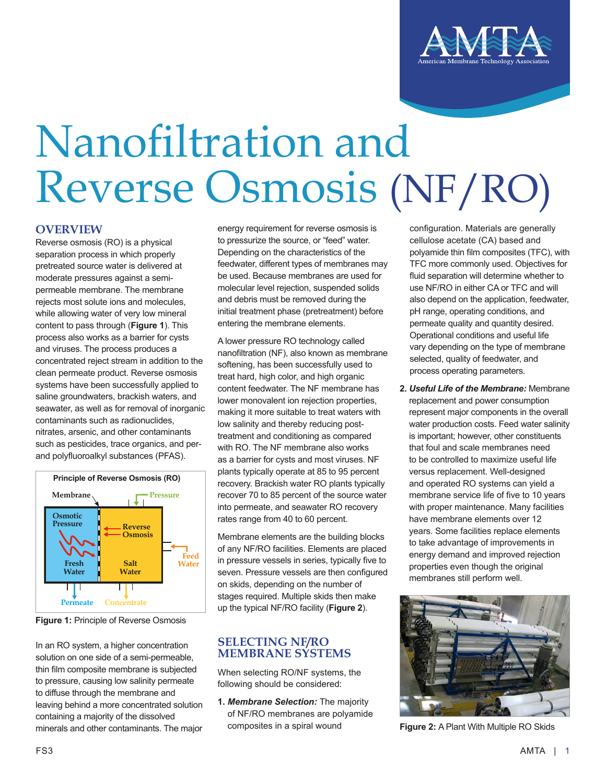

## Nanofiltration and Reverse Osmosis (NF/RO)

## **OVERVIEW**

Reverse osmosis (RO) is a physical separation process in which properly pretreated source water is delivered at moderate pressures against a semipermeable membrane. The membrane rejects most solute ions and molecules, while allowing water of very low mineral content to pass through (**Figure 1**). This process also works as a barrier for cysts and viruses. The process produces a concentrated reject stream in addition to the clean permeate product. Reverse osmosis systems have been successfully applied to saline groundwaters, brackish waters, and seawater, as well as for removal of inorganic contaminants such as radionuclides, nitrates, arsenic, and other contaminants such as pesticides, trace organics, and perand polyfluoroalkyl substances (PFAS).





In an RO system, a higher concentration solution on one side of a semi-permeable, thin film composite membrane is subjected to pressure, causing low salinity permeate to diffuse through the membrane and leaving behind a more concentrated solution containing a majority of the dissolved minerals and other contaminants. The major

energy requirement for reverse osmosis is to pressurize the source, or "feed" water. Depending on the characteristics of the feedwater, different types of membranes may be used. Because membranes are used for molecular level rejection, suspended solids and debris must be removed during the initial treatment phase (pretreatment) before entering the membrane elements.

A lower pressure RO technology called nanofiltration (NF), also known as membrane softening, has been successfully used to treat hard, high color, and high organic content feedwater. The NF membrane has lower monovalent ion rejection properties, making it more suitable to treat waters with low salinity and thereby reducing posttreatment and conditioning as compared with RO. The NF membrane also works as a barrier for cysts and most viruses. NF plants typically operate at 85 to 95 percent recovery. Brackish water RO plants typically recover 70 to 85 percent of the source water into permeate, and seawater RO recovery rates range from 40 to 60 percent.

Membrane elements are the building blocks of any NF/RO facilities. Elements are placed in pressure vessels in series, typically five to seven. Pressure vessels are then configured on skids, depending on the number of stages required. Multiple skids then make up the typical NF/RO facility (**Figure 2**).

## **SELECTING NF/RO MEMBRANE SYSTEMS**

When selecting RO/NF systems, the following should be considered:

**1.** *Membrane Selection:* The majority of NF/RO membranes are polyamide composites in a spiral wound

configuration. Materials are generally cellulose acetate (CA) based and polyamide thin film composites (TFC), with TFC more commonly used. Objectives for fluid separation will determine whether to use NF/RO in either CA or TFC and will also depend on the application, feedwater, pH range, operating conditions, and permeate quality and quantity desired. Operational conditions and useful life vary depending on the type of membrane selected, quality of feedwater, and process operating parameters.

**2.** *Useful Life of the Membrane:* Membrane replacement and power consumption represent major components in the overall water production costs. Feed water salinity is important; however, other constituents that foul and scale membranes need to be controlled to maximize useful life versus replacement. Well-designed and operated RO systems can yield a membrane service life of five to 10 years with proper maintenance. Many facilities have membrane elements over 12 years. Some facilities replace elements to take advantage of improvements in energy demand and improved rejection properties even though the original membranes still perform well.



**Figure 2:** A Plant With Multiple RO Skids